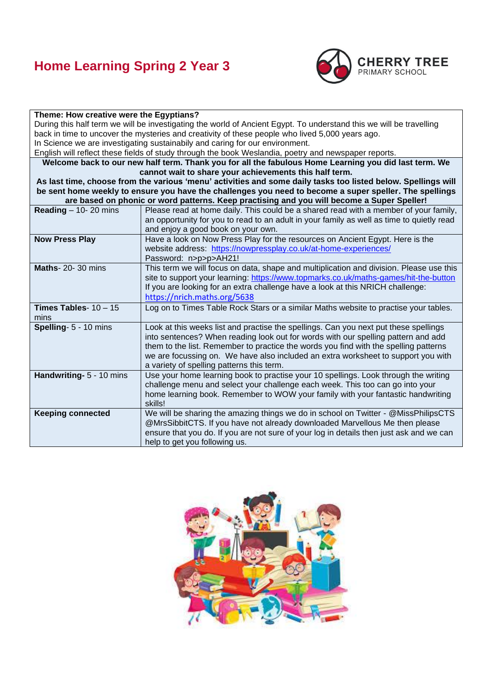## **Home Learning Spring 2 Year 3**



#### **Theme: How creative were the Egyptians?**

During this half term we will be investigating the world of Ancient Egypt. To understand this we will be travelling back in time to uncover the mysteries and creativity of these people who lived 5,000 years ago. In Science we are investigating sustainabily and caring for our environment.

English will reflect these fields of study through the book Weslandia, poetry and newspaper reports.

**Welcome back to our new half term. Thank you for all the fabulous Home Learning you did last term. We cannot wait to share your achievements this half term.**

**As last time, choose from the various 'menu' activities and some daily tasks too listed below. Spellings will be sent home weekly to ensure you have the challenges you need to become a super speller. The spellings are based on phonic or word patterns. Keep practising and you will become a Super Speller!**

| Reading $-$ 10- 20 mins                | Please read at home daily. This could be a shared read with a member of your family,<br>an opportunity for you to read to an adult in your family as well as time to quietly read<br>and enjoy a good book on your own.                                                                                                                                                                             |
|----------------------------------------|-----------------------------------------------------------------------------------------------------------------------------------------------------------------------------------------------------------------------------------------------------------------------------------------------------------------------------------------------------------------------------------------------------|
| <b>Now Press Play</b>                  | Have a look on Now Press Play for the resources on Ancient Egypt. Here is the<br>website address: https://nowpressplay.co.uk/at-home-experiences/<br>Password: n>p>p>AH21!                                                                                                                                                                                                                          |
| <b>Maths-20-30 mins</b>                | This term we will focus on data, shape and multiplication and division. Please use this<br>site to support your learning: https://www.topmarks.co.uk/maths-games/hit-the-button<br>If you are looking for an extra challenge have a look at this NRICH challenge:<br>https://nrich.maths.org/5638                                                                                                   |
| <b>Times Tables-</b> $10 - 15$<br>mins | Log on to Times Table Rock Stars or a similar Maths website to practise your tables.                                                                                                                                                                                                                                                                                                                |
| Spelling- 5 - 10 mins                  | Look at this weeks list and practise the spellings. Can you next put these spellings<br>into sentences? When reading look out for words with our spelling pattern and add<br>them to the list. Remember to practice the words you find with the spelling patterns<br>we are focussing on. We have also included an extra worksheet to support you with<br>a variety of spelling patterns this term. |
| Handwriting- 5 - 10 mins               | Use your home learning book to practise your 10 spellings. Look through the writing<br>challenge menu and select your challenge each week. This too can go into your<br>home learning book. Remember to WOW your family with your fantastic handwriting<br>skills!                                                                                                                                  |
| <b>Keeping connected</b>               | We will be sharing the amazing things we do in school on Twitter - @MissPhilipsCTS<br>@MrsSibbitCTS. If you have not already downloaded Marvellous Me then please<br>ensure that you do. If you are not sure of your log in details then just ask and we can<br>help to get you following us.                                                                                                       |

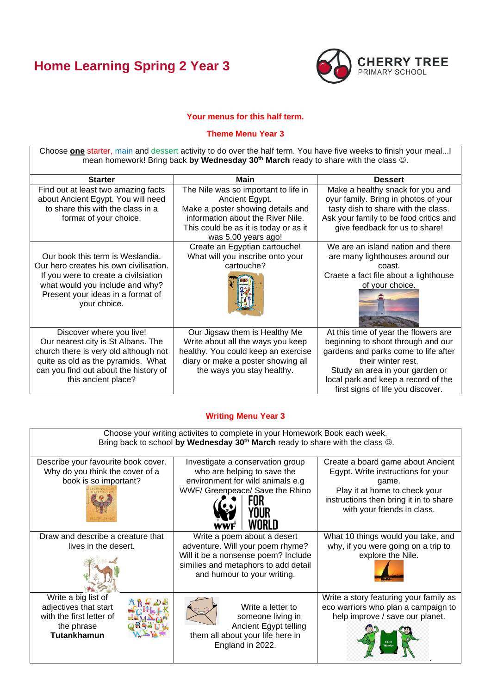# **Home Learning Spring 2 Year 3**



### **Your menus for this half term.**

#### **Theme Menu Year 3**

Choose **one** starter, main and dessert activity to do over the half term. You have five weeks to finish your meal...I mean homework! Bring back **by Wednesday 30th March** ready to share with the class ☺.

| <b>Starter</b>                                                                                                                                                                                                | Main                                                                                                                                                                                             | <b>Dessert</b>                                                                                                                                                                                                                                          |
|---------------------------------------------------------------------------------------------------------------------------------------------------------------------------------------------------------------|--------------------------------------------------------------------------------------------------------------------------------------------------------------------------------------------------|---------------------------------------------------------------------------------------------------------------------------------------------------------------------------------------------------------------------------------------------------------|
| Find out at least two amazing facts<br>about Ancient Egypt. You will need<br>to share this with the class in a<br>format of your choice.                                                                      | The Nile was so important to life in<br>Ancient Egypt.<br>Make a poster showing details and<br>information about the River Nile.<br>This could be as it is today or as it<br>was 5,00 years ago! | Make a healthy snack for you and<br>oyur family. Bring in photos of your<br>tasty dish to share with the class.<br>Ask your family to be food critics and<br>give feedback for us to share!                                                             |
| Our book this term is Weslandia.<br>Our hero creates his own civilisation.<br>If you were to create a civilsiation<br>what would you include and why?<br>Present your ideas in a format of<br>your choice.    | Create an Egyptian cartouche!<br>What will you inscribe onto your<br>cartouche?                                                                                                                  | We are an island nation and there<br>are many lighthouses around our<br>coast.<br>Craete a fact file about a lighthouse<br>of your choice.                                                                                                              |
| Discover where you live!<br>Our nearest city is St Albans. The<br>church there is very old although not<br>quite as old as the pyramids. What<br>can you find out about the history of<br>this ancient place? | Our Jigsaw them is Healthy Me<br>Write about all the ways you keep<br>healthy. You could keep an exercise<br>diary or make a poster showing all<br>the ways you stay healthy.                    | At this time of year the flowers are<br>beginning to shoot through and our<br>gardens and parks come to life after<br>their winter rest.<br>Study an area in your garden or<br>local park and keep a record of the<br>first signs of life you discover. |

## **Writing Menu Year 3**

| Choose your writing activites to complete in your Homework Book each week.<br>Bring back to school by Wednesday $30th$ March ready to share with the class $\circledcirc$ . |                                                                                                                                                                               |                                                                                                                                                                                            |  |  |  |
|-----------------------------------------------------------------------------------------------------------------------------------------------------------------------------|-------------------------------------------------------------------------------------------------------------------------------------------------------------------------------|--------------------------------------------------------------------------------------------------------------------------------------------------------------------------------------------|--|--|--|
| Describe your favourite book cover.<br>Why do you think the cover of a<br>book is so important?                                                                             | Investigate a conservation group<br>who are helping to save the<br>environment for wild animals e.g<br>WWF/ Greenpeace/ Save the Rhino                                        | Create a board game about Ancient<br>Egypt. Write instructions for your<br>game.<br>Play it at home to check your<br>instructions then bring it in to share<br>with your friends in class. |  |  |  |
| Draw and describe a creature that<br>lives in the desert.                                                                                                                   | Write a poem about a desert<br>adventure. Will your poem rhyme?<br>Will it be a nonsense poem? Include<br>similies and metaphors to add detail<br>and humour to your writing. | What 10 things would you take, and<br>why, if you were going on a trip to<br>explore the Nile.                                                                                             |  |  |  |
| Write a big list of<br>adjectives that start<br>with the first letter of<br>the phrase<br><b>Tutankhamun</b>                                                                | Write a letter to<br>someone living in<br>Ancient Egypt telling<br>them all about your life here in<br>England in 2022.                                                       | Write a story featuring your family as<br>eco warriors who plan a campaign to<br>help improve / save our planet.                                                                           |  |  |  |